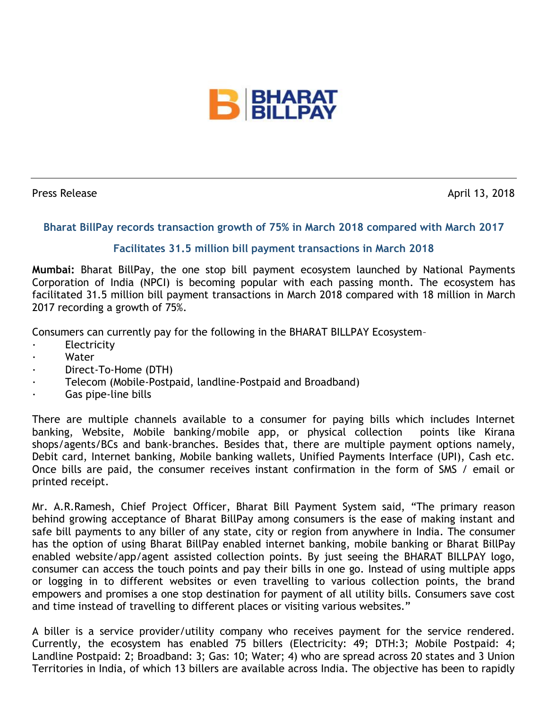

Press Release April 13, 2018

## **Bharat BillPay records transaction growth of 75% in March 2018 compared with March 2017**

## **Facilitates 31.5 million bill payment transactions in March 2018**

**Mumbai:** Bharat BillPay, the one stop bill payment ecosystem launched by National Payments Corporation of India (NPCI) is becoming popular with each passing month. The ecosystem has facilitated 31.5 million bill payment transactions in March 2018 compared with 18 million in March 2017 recording a growth of 75%.

Consumers can currently pay for the following in the BHARAT BILLPAY Ecosystem–

- **Electricity**
- Water
- Direct-To-Home (DTH)
- Telecom (Mobile-Postpaid, landline-Postpaid and Broadband)
- Gas pipe-line bills

There are multiple channels available to a consumer for paying bills which includes Internet banking, Website, Mobile banking/mobile app, or physical collection points like Kirana shops/agents/BCs and bank-branches. Besides that, there are multiple payment options namely, Debit card, Internet banking, Mobile banking wallets, Unified Payments Interface (UPI), Cash etc. Once bills are paid, the consumer receives instant confirmation in the form of SMS / email or printed receipt.

Mr. A.R.Ramesh, Chief Project Officer, Bharat Bill Payment System said, "The primary reason behind growing acceptance of Bharat BillPay among consumers is the ease of making instant and safe bill payments to any biller of any state, city or region from anywhere in India. The consumer has the option of using Bharat BillPay enabled internet banking, mobile banking or Bharat BillPay enabled website/app/agent assisted collection points. By just seeing the BHARAT BILLPAY logo, consumer can access the touch points and pay their bills in one go. Instead of using multiple apps or logging in to different websites or even travelling to various collection points, the brand empowers and promises a one stop destination for payment of all utility bills. Consumers save cost and time instead of travelling to different places or visiting various websites."

A biller is a service provider/utility company who receives payment for the service rendered. Currently, the ecosystem has enabled 75 billers (Electricity: 49; DTH:3; Mobile Postpaid: 4; Landline Postpaid: 2; Broadband: 3; Gas: 10; Water; 4) who are spread across 20 states and 3 Union Territories in India, of which 13 billers are available across India. The objective has been to rapidly